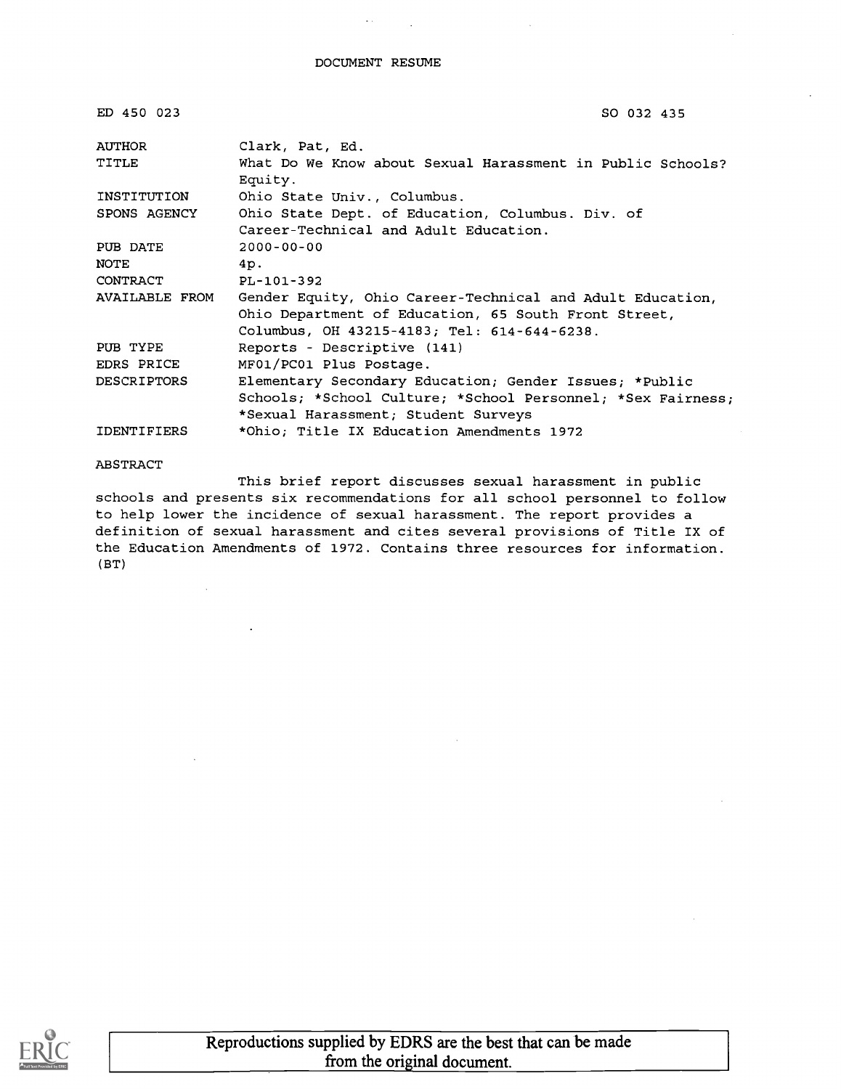$\sigma(\lambda)$ 

 $\sim$  10  $\pm$ 

| ED 450 023         | SO 032 435                                                            |
|--------------------|-----------------------------------------------------------------------|
| AUTHOR             | Clark, Pat, Ed.                                                       |
| TITLE              | What Do We Know about Sexual Harassment in Public Schools?<br>Equity. |
| INSTITUTION        | Ohio State Univ., Columbus.                                           |
| SPONS AGENCY       | Ohio State Dept. of Education, Columbus. Div. of                      |
|                    | Career-Technical and Adult Education.                                 |
| PUB DATE           | $2000 - 00 - 00$                                                      |
| NOTE               | 4p.                                                                   |
| CONTRACT           | PL-101-392                                                            |
| AVAILABLE FROM     | Gender Equity, Ohio Career-Technical and Adult Education,             |
|                    | Ohio Department of Education, 65 South Front Street,                  |
|                    | Columbus, OH 43215-4183; Tel: 614-644-6238.                           |
| PUB TYPE           | Reports - Descriptive (141)                                           |
| EDRS PRICE         | MF01/PC01 Plus Postage.                                               |
| <b>DESCRIPTORS</b> | Elementary Secondary Education; Gender Issues; *Public                |
|                    | Schools; *School Culture; *School Personnel; *Sex Fairness;           |
|                    | *Sexual Harassment; Student Surveys                                   |
| <b>IDENTIFIERS</b> | *Ohio; Title IX Education Amendments 1972                             |

#### ABSTRACT

This brief report discusses sexual harassment in public schools and presents six recommendations for all school personnel to follow to help lower the incidence of sexual harassment. The report provides a definition of sexual harassment and cites several provisions of Title IX of the Education Amendments of 1972. Contains three resources for information. (BT)

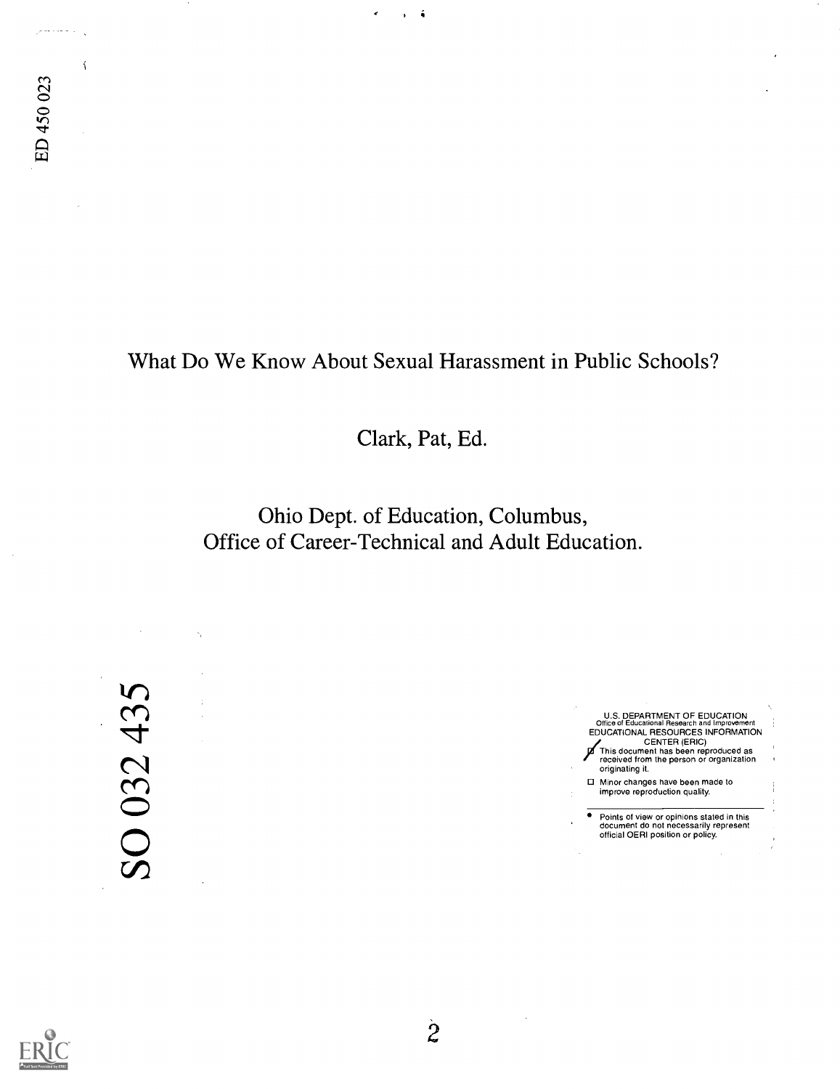لي المستعمر

 $\overline{1}$ 

## What Do We Know About Sexual Harassment in Public Schools?

 $\hat{\bullet}$ 

Clark, Pat, Ed.

Ohio Dept. of Education, Columbus, Office of Career-Technical and Adult Education.

SO 032 435

U.S. DEPARTMENT OF EDUCATION<br>Office of Educational Research and Improvement<br>EDUCATIONAL RESOURCES INFORMATION CENTER (ERIC) This document has been reproduced as received from the person or organization originating it. Minor changes have been made to improve reproduction quality. Points of view or opinions stated in this document do not necessarily represent official OERI position or policy.

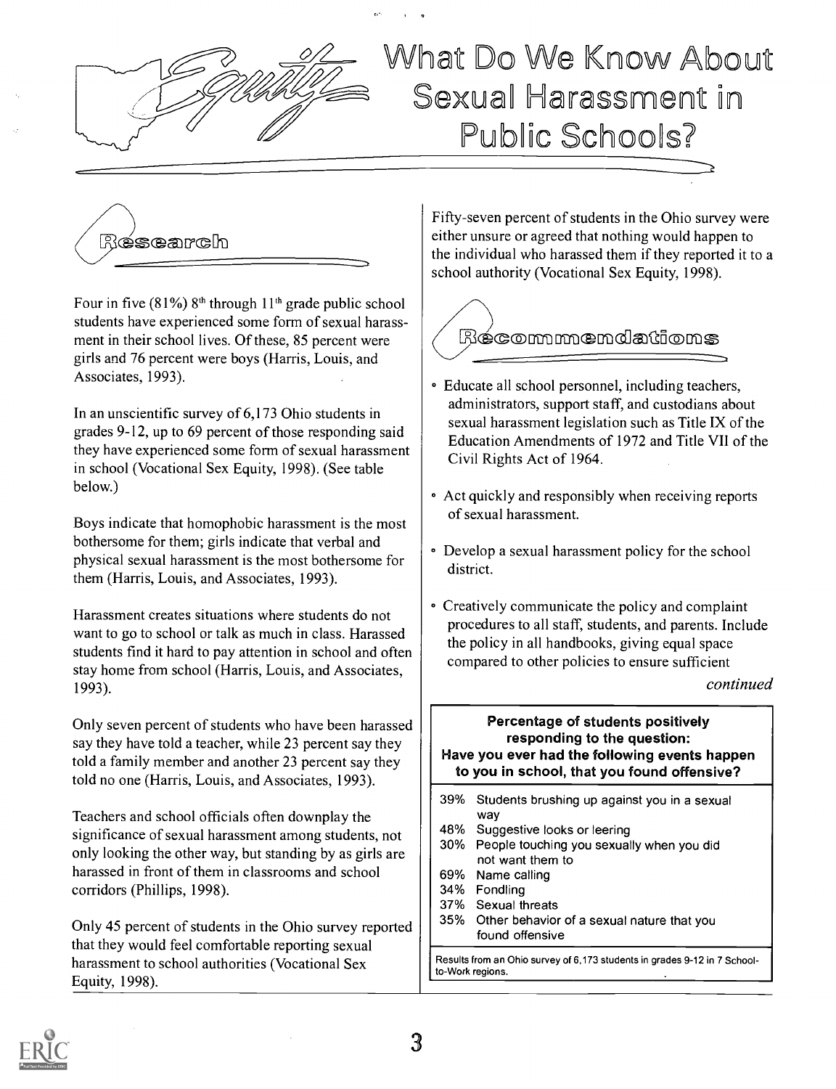

# Whet Jo We Know About Sexual Harassment in Public Schools?



Four in five  $(81\%)$  8<sup>th</sup> through  $11<sup>th</sup>$  grade public school students have experienced some form of sexual harassment in their school lives. Of these, 85 percent were girls and 76 percent were boys (Harris, Louis, and Associates, 1993).

In an unscientific survey of 6,173 Ohio students in grades 9-12, up to 69 percent of those responding said they have experienced some form of sexual harassment in school (Vocational Sex Equity, 1998). (See table below.)

Boys indicate that homophobic harassment is the most bothersome for them; girls indicate that verbal and physical sexual harassment is the most bothersome for them (Harris, Louis, and Associates, 1993).

Harassment creates situations where students do not want to go to school or talk as much in class. Harassed students find it hard to pay attention in school and often stay home from school (Harris, Louis, and Associates, 1993).

Only seven percent of students who have been harassed say they have told a teacher, while 23 percent say they told a family member and another 23 percent say they told no one (Harris, Louis, and Associates, 1993).

Teachers and school officials often downplay the significance of sexual harassment among students, not  $\begin{vmatrix} 48\% \\ 30\% \end{vmatrix}$ only looking the other way, but standing by as girls are harassed in front of them in classrooms and school corridors (Phillips, 1998).

Only 45 percent of students in the Ohio survey reported  $\frac{1}{35\%}$ that they would feel comfortable reporting sexual harassment to school authorities (Vocational Sex Equity, 1998).

Fifty-seven percent of students in the Ohio survey were either unsure or agreed that nothing would happen to the individual who harassed them if they reported it to a school authority (Vocational Sex Equity, 1998).



- Educate all school personnel, including teachers, administrators, support staff, and custodians about sexual harassment legislation such as Title IX of the Education Amendments of 1972 and Title VII of the Civil Rights Act of 1964.
- Act quickly and responsibly when receiving reports of sexual harassment.
- Develop a sexual harassment policy for the school district.
- Creatively communicate the policy and complaint procedures to all staff, students, and parents. Include the policy in all handbooks, giving equal space compared to other policies to ensure sufficient

continued

### Percentage of students positively responding to the question: Have you ever had the following events happen to you in school, that you found offensive?

- 39% Students brushing up against you in a sexual way
- Suggestive looks or leering
- People touching you sexually when you did not want them to
- 69% Name calling
- 34% Fondling
- 37% Sexual threats
- Other behavior of a sexual nature that you found offensive

Results from an Ohio survey of 6,173 students in grades 9-12 in 7 Schoolto-Work regions.

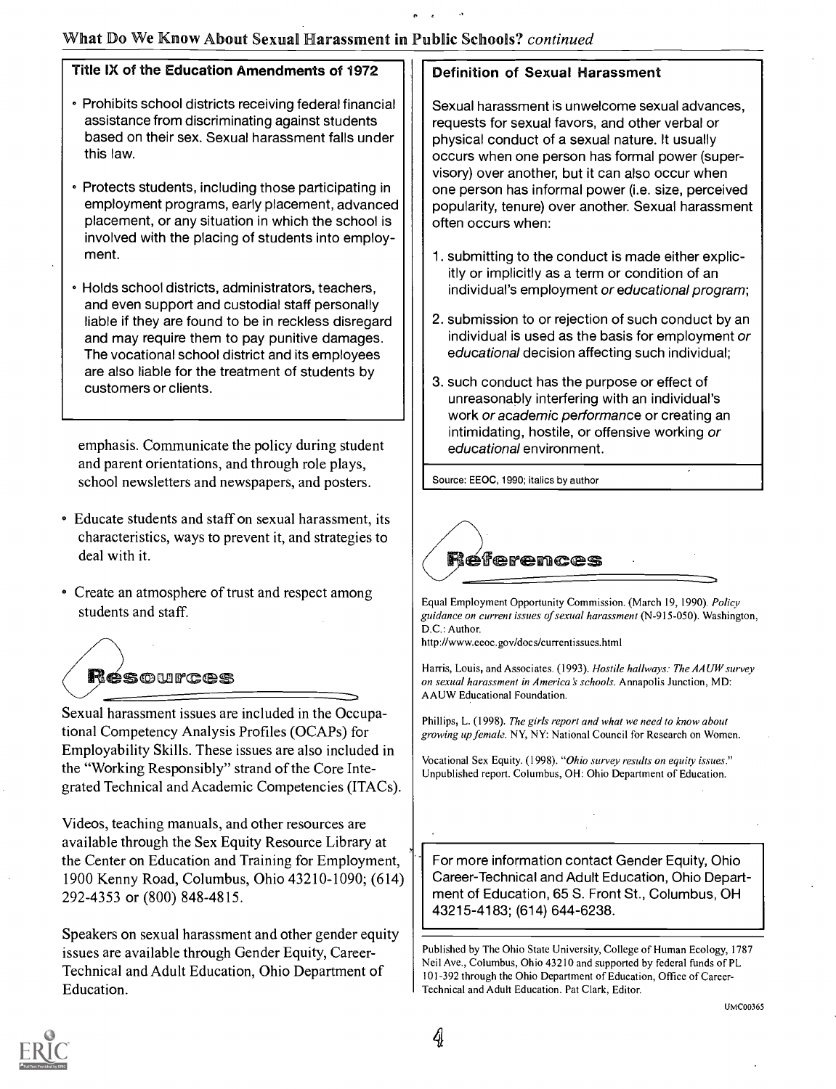### What Do We Know About Sexual Harassment in Public Schools? continued

#### Title IX of the Education Amendments of 1972

- Prohibits school districts receiving federal financial assistance from discriminating against students based on their sex. Sexual harassment falls under this law.
- Protects students, including those participating in employment programs, early placement, advanced placement, or any situation in which the school is involved with the placing of students into employment.
- Holds school districts, administrators, teachers, and even support and custodial staff personally liable if they are found to be in reckless disregard and may require them to pay punitive damages. The vocational school district and its employees are also liable for the treatment of students by customers or clients.

emphasis. Communicate the policy during student and parent orientations, and through role plays, school newsletters and newspapers, and posters.

- Educate students and staff on sexual harassment, its characteristics, ways to prevent it, and strategies to deal with it.
- Create an atmosphere of trust and respect among students and staff.



Sexual harassment issues are included in the Occupational Competency Analysis Profiles (OCAPs) for Employability Skills. These issues are also included in the "Working Responsibly" strand of the Core Integrated Technical and Academic Competencies (ITACs).

Videos, teaching manuals, and other resources are available through the Sex Equity Resource Library at the Center on Education and Training for Employment, 1900 Kenny Road, Columbus, Ohio 43210-1090; (614) 292-4353 or (800) 848-4815.

Speakers on sexual harassment and other gender equity issues are available through Gender Equity, Career-Technical and Adult Education, Ohio Department of Education.

### Definition of Sexual Harassment

Sexual harassment is unwelcome sexual advances, requests for sexual favors, and other verbal or physical conduct of a sexual nature. It usually occurs when one person has formal power (supervisory) over another, but it can also occur when one person has informal power (i.e. size, perceived popularity, tenure) over another. Sexual harassment often occurs when:

- 1. submitting to the conduct is made either explicitly or implicitly as a term or condition of an individual's employment or educational program;
- 2. submission to or rejection of such conduct by an individual is used as the basis for employment or educational decision affecting such individual;
- 3. such conduct has the purpose or effect of unreasonably interfering with an individual's work or academic performance or creating an intimidating, hostile, or offensive working or educational environment.

Source: EEOC, 1990; italics by author



Equal Employment Opportunity Commission. (March 19, 1990). Policy guidance on current issues of sexual harassment (N-915-050). Washington, D.C.: Author.

http://www.eeoc.gov/docs/currentissues.html

Harris, Louis, and Associates. (1993). Hostile hallways: The AAUW survey on sexual harassment in America's schools. Annapolis Junction, MD: AAUW Educational Foundation.

Phillips, L. (1998). The girls report and what we need to know about growing up female. NY, NY: National Council for Research on Women.

Vocational Sex Equity. (1998). "Ohio survey results on equity issues." Unpublished report. Columbus, OH: Ohio Department of Education.

For more information contact Gender Equity, Ohio Career-Technical and Adult Education, Ohio Department of Education, 65 S. Front St., Columbus, OH 43215-4183; (614) 644-6238.

Published by The Ohio State University, College of Human Ecology, 1787 Neil Ave., Columbus, Ohio 43210 and supported by federal funds of PL 101-392 through the Ohio Department of Education, Office of Career-Technical and Adult Education. Pat Clark, Editor.

UMC00365